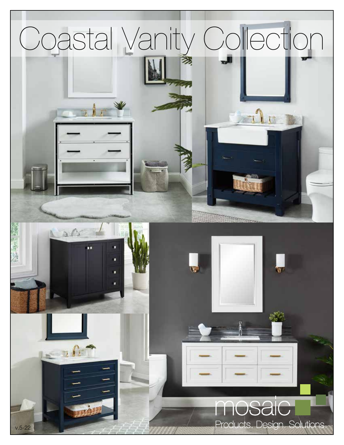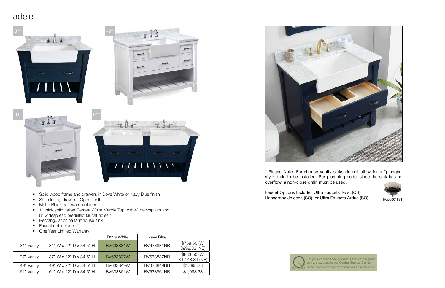### adele

- Solid wood frame and drawers in Dove White or Navy Blue finish
- Soft closing drawers; Open shelf
- Matte Black hardware included
- 1" thick solid Italian Carrara White Marble Top with 4" backsplash and 8" widespread predrilled faucet holes \*
- Rectangular china farmhouse sink
- Faucet not included \*
- One Year Limited Warranty

|            |                         | Dove White | Navy Blue  |                                  |
|------------|-------------------------|------------|------------|----------------------------------|
| 31" Vanity | 31" W x 22" D x 34.5" H | BV633831W  | BV633831NB | \$758.50 (W)<br>\$998.33 (NB)    |
| 37" Vanity | 37" W x 22" D x 34.5" H | BV633837W  | BV633837NB | \$833.50 (W)<br>$$1,148.33$ (NB) |
| 49" Vanity | 49" W x 22" D x 34.5" H | BV633849W  | BV633849NB | \$1.698.33                       |
| 61" Vanity | 61" W x 22" D x 34.5" H | BV633861W  | BV633861NB | \$1,998.33                       |

Faucet Options Include: Ultra Faucets Twist (QS), Hansgrohe Joleena (SO), or Ultra Faucets Ardua (SO). HG50001821





For your convenience, products shown in a green box are stocked in our Central Service Center. Orders placed before noon are available within 1 business day.

\* Please Note: Farmhouse vanity sinks do not allow for a "plunger" style drain to be installed. Per plumbing code, since the sink has no





overflow, a non-close drain must be used.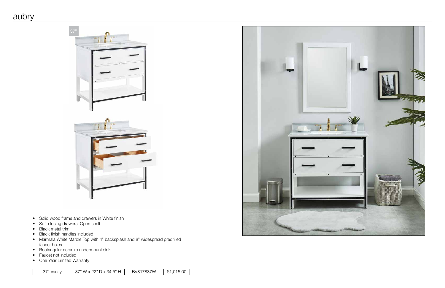- Solid wood frame and drawers in White finish
- Soft closing drawers; Open shelf
- Black metal trim
- Black finish handles included
- Marmala White Marble Top with 4" backsplash and 8" widespread predrilled faucet holes
- Rectangular ceramic undermount sink
- Faucet not included
- One Year Limited Warranty





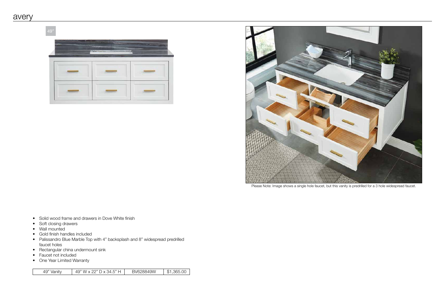- Solid wood frame and drawers in Dove White finish
- Soft closing drawers
- Wall mounted
- Gold finish handles included
- Palissandro Blue Marble Top with 4" backsplash and 8" widespread predrilled faucet holes
- Rectangular china undermount sink
- Faucet not included
- One Year Limited Warranty

| 49" Vanity | 49" W x 22" D x 34.5" H | BV628849W | $^{\prime}$ \$1,365.00 |
|------------|-------------------------|-----------|------------------------|
|------------|-------------------------|-----------|------------------------|

49"





Please Note: Image shows a single hole faucet, but this vanity is predrilled for a 3 hole widespread faucet.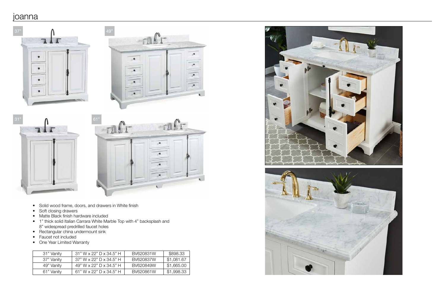# joanna

- Solid wood frame, doors, and drawers in White finish
- Soft closing drawers
- Matte Black finish hardware included
- 1" thick solid Italian Carrara White Marble Top with 4" backsplash and 8" widespread predrilled faucet holes
- Rectangular china undermount sink
- Faucet not included
- One Year Limited Warranty

| 31" Vanity | $31"$ W x 22" D x 34.5" H | BV620831W | \$898.33   |
|------------|---------------------------|-----------|------------|
| 37" Vanity | 37" W x 22" D x 34.5" H   | BV620837W | \$1,081.67 |
| 49" Vanity | 49" W x 22" D x 34.5" H   | BV620849W | \$1,665.00 |
| 61" Vanity | 61" W x 22" D x 34.5" H   | BV620861W | \$1,998.33 |





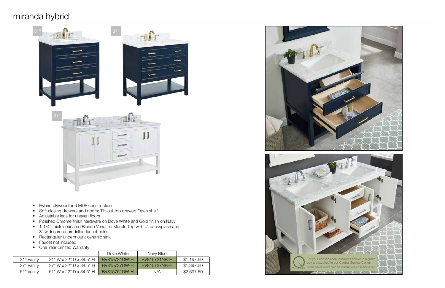# miranda hybrid



- Hybrid plywood and MDF construction
- Soft closing drawers and doors; Tilt-out top drawer; Open shelf
- Adjustable legs for uneven floors
- Polished Chrome finish hardware on Dove White and Gold finish on Navy
- 1-1/4" thick laminated Bianco Venatino Marble Top with 4" backsplash and 8" widespread predrilled faucet holes
- Rectangular undermount ceramic sink
- Faucet not included
- One Year Limited Warranty

|            |                         | Dove White          | Navy Blue    |            |
|------------|-------------------------|---------------------|--------------|------------|
| 31" Vanity | 31" W x 22" D x 34.5" H | <b>BV815731DW-H</b> | BV815731NB-H | \$1,197.50 |
| 37" Vanity | 37" W x 22" D x 34.5" H | <b>BV815737DW-H</b> | BV815737NB-H | \$1,397.50 |
| 61" Vanity | 61" W x 22" D x 34.5" H | BV815761DW-H        | N/A          | \$2,697.50 |



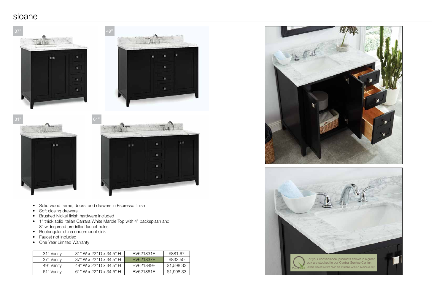### sloane

- Solid wood frame, doors, and drawers in Espresso finish
- Soft closing drawers
- Brushed Nickel finish hardware included
- 1" thick solid Italian Carrara White Marble Top with 4" backsplash and 8" widespread predrilled faucet holes
- Rectangular china undermount sink
- Faucet not included
- One Year Limited Warranty

| 31" Vanity | 31" W x 22" D x 34.5" H   | BV621831E | \$881.67   |
|------------|---------------------------|-----------|------------|
| 37" Vanity | $37"$ W x 22" D x 34.5" H | BV621837E | \$833.50   |
| 49" Vanity | 49" W x 22" D x 34.5" H   | BV621849E | \$1,598.33 |
| 61" Vanity | 61" W x 22" D x 34.5" H   | BV621861F | \$1,998.33 |





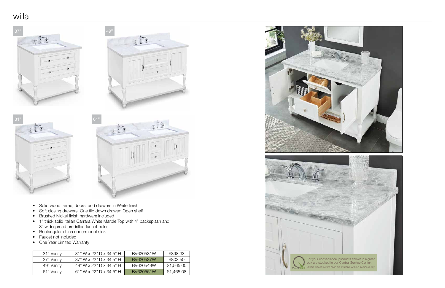# willa

- Solid wood frame, doors, and drawers in White finish
- Soft closing drawers; One flip down drawer; Open shelf
- Brushed Nickel finish hardware included
- 1" thick solid Italian Carrara White Marble Top with 4" backsplash and 8" widespread predrilled faucet holes
- Rectangular china undermount sink
- Faucet not included
- One Year Limited Warranty

| 31" Vanity | $31"$ W x 22" D x 34.5" H | BV620531W | \$898.33   |
|------------|---------------------------|-----------|------------|
| 37" Vanity | $37"$ W x 22" D x 34.5" H | BV620537W | \$803.50   |
| 49" Vanity | 49" W x 22" D x 34.5" H   | BV620549W | \$1,565.00 |
| 61" Vanity | 61" W x 22" D x 34.5" H   | BV620561W | \$1,465.08 |